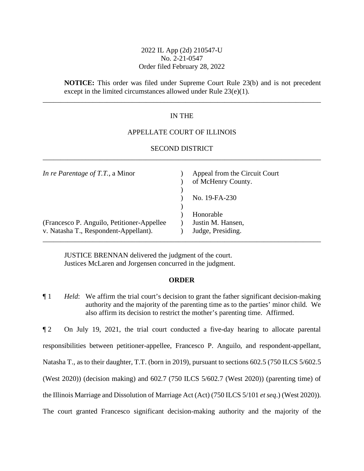# 2022 IL App (2d) 210547-U No. 2-21-0547 Order filed February 28, 2022

**NOTICE:** This order was filed under Supreme Court Rule 23(b) and is not precedent except in the limited circumstances allowed under Rule 23(e)(1).

# IN THE

\_\_\_\_\_\_\_\_\_\_\_\_\_\_\_\_\_\_\_\_\_\_\_\_\_\_\_\_\_\_\_\_\_\_\_\_\_\_\_\_\_\_\_\_\_\_\_\_\_\_\_\_\_\_\_\_\_\_\_\_\_\_\_\_\_\_\_\_\_\_\_\_\_\_\_\_\_\_

### APPELLATE COURT OF ILLINOIS

## SECOND DISTRICT \_\_\_\_\_\_\_\_\_\_\_\_\_\_\_\_\_\_\_\_\_\_\_\_\_\_\_\_\_\_\_\_\_\_\_\_\_\_\_\_\_\_\_\_\_\_\_\_\_\_\_\_\_\_\_\_\_\_\_\_\_\_\_\_\_\_\_\_\_\_\_\_\_\_\_\_\_\_

| In re Parentage of $T.T.$ , a Minor         | Appeal from the Circuit Court<br>of McHenry County. |
|---------------------------------------------|-----------------------------------------------------|
|                                             | No. 19-FA-230                                       |
|                                             | Honorable                                           |
| (Francesco P. Anguilo, Petitioner-Appellee) | Justin M. Hansen,                                   |
| v. Natasha T., Respondent-Appellant).       | Judge, Presiding.                                   |
|                                             |                                                     |

JUSTICE BRENNAN delivered the judgment of the court. Justices McLaren and Jorgensen concurred in the judgment.

#### **ORDER**

¶ 1 *Held*: We affirm the trial court's decision to grant the father significant decision-making authority and the majority of the parenting time as to the parties' minor child. We also affirm its decision to restrict the mother's parenting time. Affirmed.

¶ 2 On July 19, 2021, the trial court conducted a five-day hearing to allocate parental responsibilities between petitioner-appellee, Francesco P. Anguilo, and respondent-appellant, Natasha T., as to their daughter, T.T. (born in 2019), pursuant to sections 602.5 (750 ILCS 5/602.5 (West 2020)) (decision making) and 602.7 (750 ILCS 5/602.7 (West 2020)) (parenting time) of the Illinois Marriage and Dissolution of Marriage Act (Act) (750 ILCS 5/101 *et seq*.) (West 2020)). The court granted Francesco significant decision-making authority and the majority of the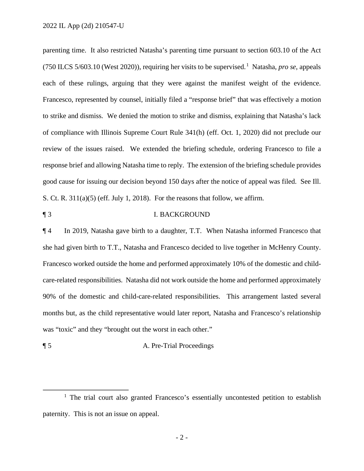parenting time. It also restricted Natasha's parenting time pursuant to section 603.10 of the Act (750 ILCS 5/603.10 (West 2020)), requiring her visits to be supervised.[1](#page-1-0) Natasha, *pro se*, appeals each of these rulings, arguing that they were against the manifest weight of the evidence. Francesco, represented by counsel, initially filed a "response brief" that was effectively a motion to strike and dismiss. We denied the motion to strike and dismiss, explaining that Natasha's lack of compliance with Illinois Supreme Court Rule 341(h) (eff. Oct. 1, 2020) did not preclude our review of the issues raised. We extended the briefing schedule, ordering Francesco to file a response brief and allowing Natasha time to reply. The extension of the briefing schedule provides good cause for issuing our decision beyond 150 days after the notice of appeal was filed. See Ill. S. Ct. R. 311(a)(5) (eff. July 1, 2018). For the reasons that follow, we affirm.

## ¶ 3 I. BACKGROUND

¶ 4 In 2019, Natasha gave birth to a daughter, T.T. When Natasha informed Francesco that she had given birth to T.T., Natasha and Francesco decided to live together in McHenry County. Francesco worked outside the home and performed approximately 10% of the domestic and childcare-related responsibilities. Natasha did not work outside the home and performed approximately 90% of the domestic and child-care-related responsibilities. This arrangement lasted several months but, as the child representative would later report, Natasha and Francesco's relationship was "toxic" and they "brought out the worst in each other."

¶ 5 A. Pre-Trial Proceedings

<span id="page-1-0"></span><sup>&</sup>lt;sup>1</sup> The trial court also granted Francesco's essentially uncontested petition to establish paternity. This is not an issue on appeal.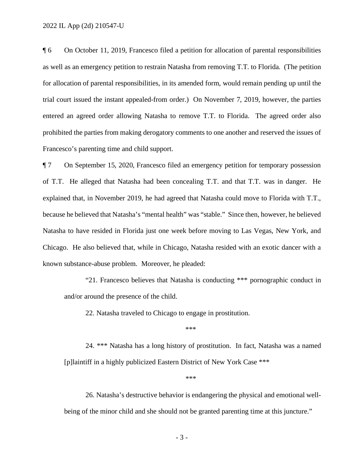¶ 6 On October 11, 2019, Francesco filed a petition for allocation of parental responsibilities as well as an emergency petition to restrain Natasha from removing T.T. to Florida. (The petition for allocation of parental responsibilities, in its amended form, would remain pending up until the trial court issued the instant appealed-from order.) On November 7, 2019, however, the parties entered an agreed order allowing Natasha to remove T.T. to Florida. The agreed order also prohibited the parties from making derogatory comments to one another and reserved the issues of Francesco's parenting time and child support.

¶ 7 On September 15, 2020, Francesco filed an emergency petition for temporary possession of T.T. He alleged that Natasha had been concealing T.T. and that T.T. was in danger. He explained that, in November 2019, he had agreed that Natasha could move to Florida with T.T., because he believed that Natasha's "mental health" was "stable." Since then, however, he believed Natasha to have resided in Florida just one week before moving to Las Vegas, New York, and Chicago. He also believed that, while in Chicago, Natasha resided with an exotic dancer with a known substance-abuse problem. Moreover, he pleaded:

"21. Francesco believes that Natasha is conducting \*\*\* pornographic conduct in and/or around the presence of the child.

22. Natasha traveled to Chicago to engage in prostitution.

 $***$ 

24. \*\*\* Natasha has a long history of prostitution. In fact, Natasha was a named [p]laintiff in a highly publicized Eastern District of New York Case \*\*\*

 $***$ 

26. Natasha's destructive behavior is endangering the physical and emotional wellbeing of the minor child and she should not be granted parenting time at this juncture."

- 3 -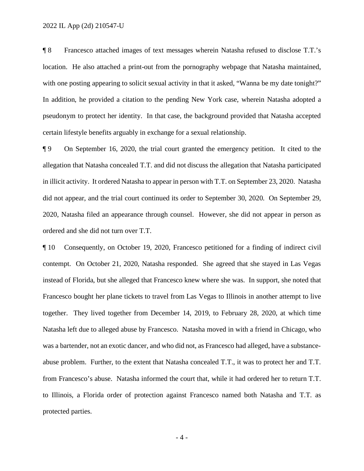¶ 8 Francesco attached images of text messages wherein Natasha refused to disclose T.T.'s location. He also attached a print-out from the pornography webpage that Natasha maintained, with one posting appearing to solicit sexual activity in that it asked, "Wanna be my date tonight?" In addition, he provided a citation to the pending New York case, wherein Natasha adopted a pseudonym to protect her identity. In that case, the background provided that Natasha accepted certain lifestyle benefits arguably in exchange for a sexual relationship.

¶ 9 On September 16, 2020, the trial court granted the emergency petition. It cited to the allegation that Natasha concealed T.T. and did not discuss the allegation that Natasha participated in illicit activity. It ordered Natasha to appear in person with T.T. on September 23, 2020. Natasha did not appear, and the trial court continued its order to September 30, 2020. On September 29, 2020, Natasha filed an appearance through counsel. However, she did not appear in person as ordered and she did not turn over T.T.

¶ 10 Consequently, on October 19, 2020, Francesco petitioned for a finding of indirect civil contempt. On October 21, 2020, Natasha responded. She agreed that she stayed in Las Vegas instead of Florida, but she alleged that Francesco knew where she was. In support, she noted that Francesco bought her plane tickets to travel from Las Vegas to Illinois in another attempt to live together. They lived together from December 14, 2019, to February 28, 2020, at which time Natasha left due to alleged abuse by Francesco. Natasha moved in with a friend in Chicago, who was a bartender, not an exotic dancer, and who did not, as Francesco had alleged, have a substanceabuse problem. Further, to the extent that Natasha concealed T.T., it was to protect her and T.T. from Francesco's abuse. Natasha informed the court that, while it had ordered her to return T.T. to Illinois, a Florida order of protection against Francesco named both Natasha and T.T. as protected parties.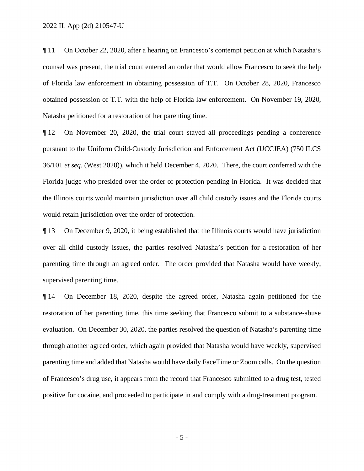¶ 11 On October 22, 2020, after a hearing on Francesco's contempt petition at which Natasha's counsel was present, the trial court entered an order that would allow Francesco to seek the help of Florida law enforcement in obtaining possession of T.T. On October 28, 2020, Francesco obtained possession of T.T. with the help of Florida law enforcement. On November 19, 2020, Natasha petitioned for a restoration of her parenting time.

¶ 12 On November 20, 2020, the trial court stayed all proceedings pending a conference pursuant to the Uniform Child-Custody Jurisdiction and Enforcement Act (UCCJEA) (750 ILCS 36/101 *et seq*. (West 2020)), which it held December 4, 2020. There, the court conferred with the Florida judge who presided over the order of protection pending in Florida. It was decided that the Illinois courts would maintain jurisdiction over all child custody issues and the Florida courts would retain jurisdiction over the order of protection.

¶ 13 On December 9, 2020, it being established that the Illinois courts would have jurisdiction over all child custody issues, the parties resolved Natasha's petition for a restoration of her parenting time through an agreed order. The order provided that Natasha would have weekly, supervised parenting time.

¶ 14 On December 18, 2020, despite the agreed order, Natasha again petitioned for the restoration of her parenting time, this time seeking that Francesco submit to a substance-abuse evaluation. On December 30, 2020, the parties resolved the question of Natasha's parenting time through another agreed order, which again provided that Natasha would have weekly, supervised parenting time and added that Natasha would have daily FaceTime or Zoom calls. On the question of Francesco's drug use, it appears from the record that Francesco submitted to a drug test, tested positive for cocaine, and proceeded to participate in and comply with a drug-treatment program.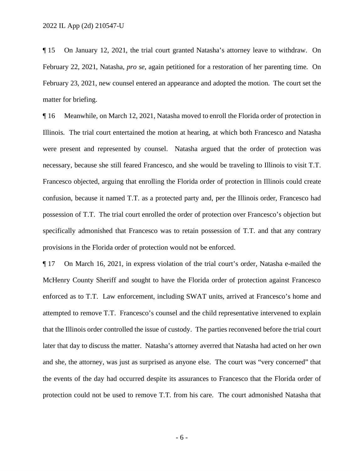¶ 15 On January 12, 2021, the trial court granted Natasha's attorney leave to withdraw. On February 22, 2021, Natasha, *pro se*, again petitioned for a restoration of her parenting time. On February 23, 2021, new counsel entered an appearance and adopted the motion. The court set the matter for briefing.

¶ 16 Meanwhile, on March 12, 2021, Natasha moved to enroll the Florida order of protection in Illinois. The trial court entertained the motion at hearing, at which both Francesco and Natasha were present and represented by counsel. Natasha argued that the order of protection was necessary, because she still feared Francesco, and she would be traveling to Illinois to visit T.T. Francesco objected, arguing that enrolling the Florida order of protection in Illinois could create confusion, because it named T.T. as a protected party and, per the Illinois order, Francesco had possession of T.T. The trial court enrolled the order of protection over Francesco's objection but specifically admonished that Francesco was to retain possession of T.T. and that any contrary provisions in the Florida order of protection would not be enforced.

¶ 17 On March 16, 2021, in express violation of the trial court's order, Natasha e-mailed the McHenry County Sheriff and sought to have the Florida order of protection against Francesco enforced as to T.T. Law enforcement, including SWAT units, arrived at Francesco's home and attempted to remove T.T. Francesco's counsel and the child representative intervened to explain that the Illinois order controlled the issue of custody. The parties reconvened before the trial court later that day to discuss the matter. Natasha's attorney averred that Natasha had acted on her own and she, the attorney, was just as surprised as anyone else. The court was "very concerned" that the events of the day had occurred despite its assurances to Francesco that the Florida order of protection could not be used to remove T.T. from his care. The court admonished Natasha that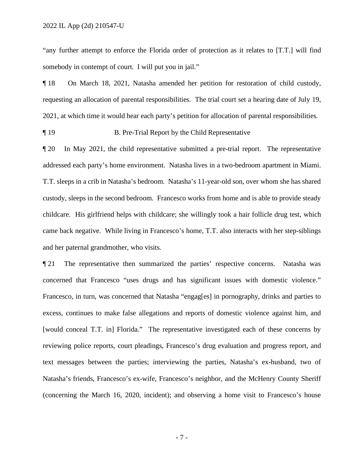"any further attempt to enforce the Florida order of protection as it relates to [T.T.] will find somebody in contempt of court. I will put you in jail."

¶ 18 On March 18, 2021, Natasha amended her petition for restoration of child custody, requesting an allocation of parental responsibilities. The trial court set a hearing date of July 19, 2021, at which time it would hear each party's petition for allocation of parental responsibilities.

¶ 19 B. Pre-Trial Report by the Child Representative

¶ 20 In May 2021, the child representative submitted a pre-trial report. The representative addressed each party's home environment. Natasha lives in a two-bedroom apartment in Miami. T.T. sleeps in a crib in Natasha's bedroom. Natasha's 11-year-old son, over whom she has shared custody, sleeps in the second bedroom. Francesco works from home and is able to provide steady childcare. His girlfriend helps with childcare; she willingly took a hair follicle drug test, which came back negative. While living in Francesco's home, T.T. also interacts with her step-siblings and her paternal grandmother, who visits.

¶ 21 The representative then summarized the parties' respective concerns. Natasha was concerned that Francesco "uses drugs and has significant issues with domestic violence." Francesco, in turn, was concerned that Natasha "engag[es] in pornography, drinks and parties to excess, continues to make false allegations and reports of domestic violence against him, and [would conceal T.T. in] Florida." The representative investigated each of these concerns by reviewing police reports, court pleadings, Francesco's drug evaluation and progress report, and text messages between the parties; interviewing the parties, Natasha's ex-husband, two of Natasha's friends, Francesco's ex-wife, Francesco's neighbor, and the McHenry County Sheriff (concerning the March 16, 2020, incident); and observing a home visit to Francesco's house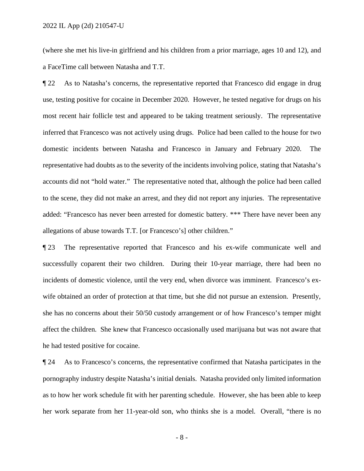(where she met his live-in girlfriend and his children from a prior marriage, ages 10 and 12), and a FaceTime call between Natasha and T.T.

¶ 22 As to Natasha's concerns, the representative reported that Francesco did engage in drug use, testing positive for cocaine in December 2020. However, he tested negative for drugs on his most recent hair follicle test and appeared to be taking treatment seriously. The representative inferred that Francesco was not actively using drugs. Police had been called to the house for two domestic incidents between Natasha and Francesco in January and February 2020. The representative had doubts as to the severity of the incidents involving police, stating that Natasha's accounts did not "hold water." The representative noted that, although the police had been called to the scene, they did not make an arrest, and they did not report any injuries. The representative added: "Francesco has never been arrested for domestic battery. \*\*\* There have never been any allegations of abuse towards T.T. [or Francesco's] other children."

¶ 23 The representative reported that Francesco and his ex-wife communicate well and successfully coparent their two children. During their 10-year marriage, there had been no incidents of domestic violence, until the very end, when divorce was imminent. Francesco's exwife obtained an order of protection at that time, but she did not pursue an extension. Presently, she has no concerns about their 50/50 custody arrangement or of how Francesco's temper might affect the children. She knew that Francesco occasionally used marijuana but was not aware that he had tested positive for cocaine.

¶ 24 As to Francesco's concerns, the representative confirmed that Natasha participates in the pornography industry despite Natasha's initial denials. Natasha provided only limited information as to how her work schedule fit with her parenting schedule. However, she has been able to keep her work separate from her 11-year-old son, who thinks she is a model. Overall, "there is no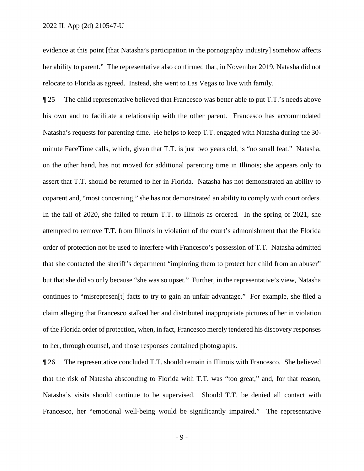evidence at this point [that Natasha's participation in the pornography industry] somehow affects her ability to parent." The representative also confirmed that, in November 2019, Natasha did not relocate to Florida as agreed. Instead, she went to Las Vegas to live with family.

¶ 25 The child representative believed that Francesco was better able to put T.T.'s needs above his own and to facilitate a relationship with the other parent. Francesco has accommodated Natasha's requests for parenting time. He helps to keep T.T. engaged with Natasha during the 30 minute FaceTime calls, which, given that T.T. is just two years old, is "no small feat." Natasha, on the other hand, has not moved for additional parenting time in Illinois; she appears only to assert that T.T. should be returned to her in Florida. Natasha has not demonstrated an ability to coparent and, "most concerning," she has not demonstrated an ability to comply with court orders. In the fall of 2020, she failed to return T.T. to Illinois as ordered. In the spring of 2021, she attempted to remove T.T. from Illinois in violation of the court's admonishment that the Florida order of protection not be used to interfere with Francesco's possession of T.T. Natasha admitted that she contacted the sheriff's department "imploring them to protect her child from an abuser" but that she did so only because "she was so upset." Further, in the representative's view, Natasha continues to "misrepresen[t] facts to try to gain an unfair advantage." For example, she filed a claim alleging that Francesco stalked her and distributed inappropriate pictures of her in violation of the Florida order of protection, when, in fact, Francesco merely tendered his discovery responses to her, through counsel, and those responses contained photographs.

¶ 26 The representative concluded T.T. should remain in Illinois with Francesco. She believed that the risk of Natasha absconding to Florida with T.T. was "too great," and, for that reason, Natasha's visits should continue to be supervised. Should T.T. be denied all contact with Francesco, her "emotional well-being would be significantly impaired." The representative

- 9 -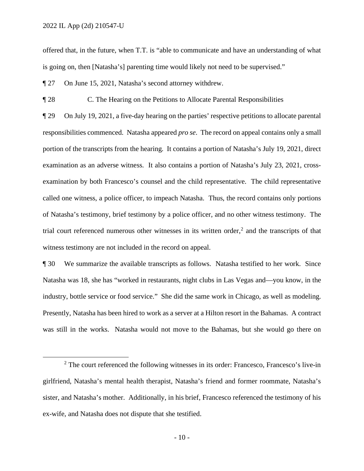offered that, in the future, when T.T. is "able to communicate and have an understanding of what is going on, then [Natasha's] parenting time would likely not need to be supervised."

¶ 27 On June 15, 2021, Natasha's second attorney withdrew.

¶ 28 C. The Hearing on the Petitions to Allocate Parental Responsibilities

¶ 29 On July 19, 2021, a five-day hearing on the parties' respective petitions to allocate parental responsibilities commenced. Natasha appeared *pro se*. The record on appeal contains only a small portion of the transcripts from the hearing. It contains a portion of Natasha's July 19, 2021, direct examination as an adverse witness. It also contains a portion of Natasha's July 23, 2021, crossexamination by both Francesco's counsel and the child representative. The child representative called one witness, a police officer, to impeach Natasha. Thus, the record contains only portions of Natasha's testimony, brief testimony by a police officer, and no other witness testimony. The trial court referenced numerous other witnesses in its written order,<sup>[2](#page-9-0)</sup> and the transcripts of that witness testimony are not included in the record on appeal.

¶ 30 We summarize the available transcripts as follows. Natasha testified to her work. Since Natasha was 18, she has "worked in restaurants, night clubs in Las Vegas and—you know, in the industry, bottle service or food service." She did the same work in Chicago, as well as modeling. Presently, Natasha has been hired to work as a server at a Hilton resort in the Bahamas. A contract was still in the works. Natasha would not move to the Bahamas, but she would go there on

<span id="page-9-0"></span> $2$  The court referenced the following witnesses in its order: Francesco, Francesco's live-in girlfriend, Natasha's mental health therapist, Natasha's friend and former roommate, Natasha's sister, and Natasha's mother. Additionally, in his brief, Francesco referenced the testimony of his ex-wife, and Natasha does not dispute that she testified.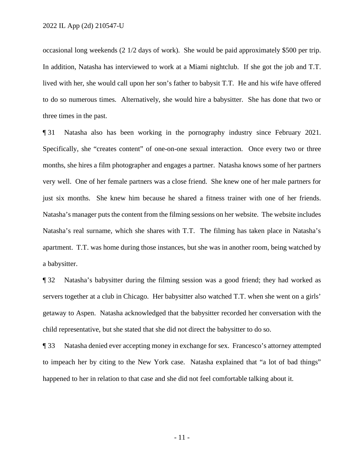occasional long weekends (2 1/2 days of work). She would be paid approximately \$500 per trip. In addition, Natasha has interviewed to work at a Miami nightclub. If she got the job and T.T. lived with her, she would call upon her son's father to babysit T.T. He and his wife have offered to do so numerous times. Alternatively, she would hire a babysitter. She has done that two or three times in the past.

¶ 31 Natasha also has been working in the pornography industry since February 2021. Specifically, she "creates content" of one-on-one sexual interaction. Once every two or three months, she hires a film photographer and engages a partner. Natasha knows some of her partners very well. One of her female partners was a close friend. She knew one of her male partners for just six months. She knew him because he shared a fitness trainer with one of her friends. Natasha's manager puts the content from the filming sessions on her website. The website includes Natasha's real surname, which she shares with T.T. The filming has taken place in Natasha's apartment. T.T. was home during those instances, but she was in another room, being watched by a babysitter.

¶ 32 Natasha's babysitter during the filming session was a good friend; they had worked as servers together at a club in Chicago. Her babysitter also watched T.T. when she went on a girls' getaway to Aspen. Natasha acknowledged that the babysitter recorded her conversation with the child representative, but she stated that she did not direct the babysitter to do so.

¶ 33 Natasha denied ever accepting money in exchange for sex. Francesco's attorney attempted to impeach her by citing to the New York case. Natasha explained that "a lot of bad things" happened to her in relation to that case and she did not feel comfortable talking about it.

- 11 -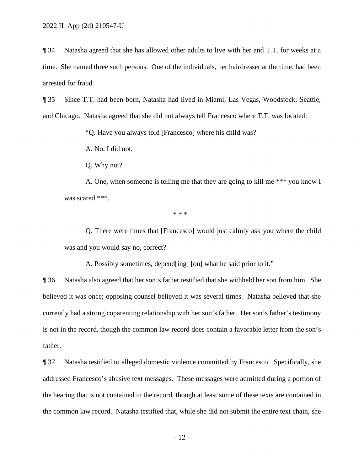¶ 34 Natasha agreed that she has allowed other adults to live with her and T.T. for weeks at a time. She named three such persons. One of the individuals, her hairdresser at the time, had been arrested for fraud.

¶ 35 Since T.T. had been born, Natasha had lived in Miami, Las Vegas, Woodstock, Seattle, and Chicago. Natasha agreed that she did not always tell Francesco where T.T. was located:

"Q. Have you always told [Francesco] where his child was?

A. No, I did not.

Q. Why not?

 A. One, when someone is telling me that they are going to kill me \*\*\* you know I was scared \*\*\*.

 $* * *$ 

 Q. There were times that [Francesco] would just calmly ask you where the child was and you would say no, correct?

A. Possibly sometimes, depend[ing] [on] what he said prior to it."

¶ 36 Natasha also agreed that her son's father testified that she withheld her son from him. She believed it was once; opposing counsel believed it was several times. Natasha believed that she currently had a strong coparenting relationship with her son's father. Her son's father's testimony is not in the record, though the common law record does contain a favorable letter from the son's father.

¶ 37 Natasha testified to alleged domestic violence committed by Francesco. Specifically, she addressed Francesco's abusive text messages. These messages were admitted during a portion of the hearing that is not contained in the record, though at least some of these texts are contained in the common law record. Natasha testified that, while she did not submit the entire text chain, she

- 12 -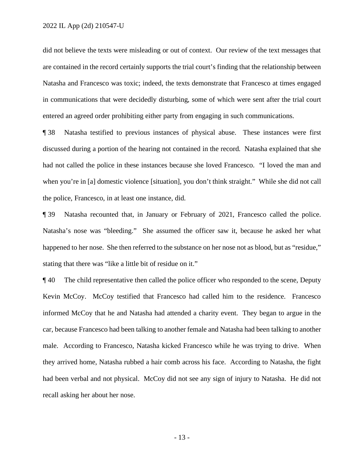did not believe the texts were misleading or out of context. Our review of the text messages that are contained in the record certainly supports the trial court's finding that the relationship between Natasha and Francesco was toxic; indeed, the texts demonstrate that Francesco at times engaged in communications that were decidedly disturbing, some of which were sent after the trial court entered an agreed order prohibiting either party from engaging in such communications.

¶ 38 Natasha testified to previous instances of physical abuse. These instances were first discussed during a portion of the hearing not contained in the record. Natasha explained that she had not called the police in these instances because she loved Francesco. "I loved the man and when you're in [a] domestic violence [situation], you don't think straight." While she did not call the police, Francesco, in at least one instance, did.

¶ 39 Natasha recounted that, in January or February of 2021, Francesco called the police. Natasha's nose was "bleeding." She assumed the officer saw it, because he asked her what happened to her nose. She then referred to the substance on her nose not as blood, but as "residue," stating that there was "like a little bit of residue on it."

¶ 40 The child representative then called the police officer who responded to the scene, Deputy Kevin McCoy. McCoy testified that Francesco had called him to the residence. Francesco informed McCoy that he and Natasha had attended a charity event. They began to argue in the car, because Francesco had been talking to another female and Natasha had been talking to another male. According to Francesco, Natasha kicked Francesco while he was trying to drive. When they arrived home, Natasha rubbed a hair comb across his face. According to Natasha, the fight had been verbal and not physical. McCoy did not see any sign of injury to Natasha. He did not recall asking her about her nose.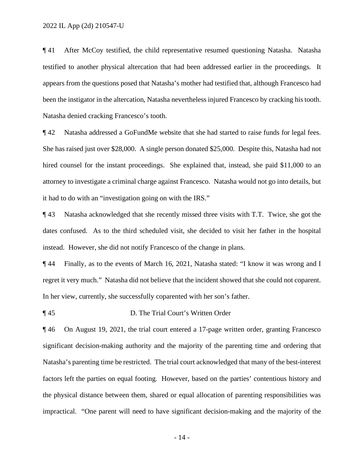¶ 41 After McCoy testified, the child representative resumed questioning Natasha. Natasha testified to another physical altercation that had been addressed earlier in the proceedings. It appears from the questions posed that Natasha's mother had testified that, although Francesco had been the instigator in the altercation, Natasha nevertheless injured Francesco by cracking his tooth. Natasha denied cracking Francesco's tooth.

¶ 42 Natasha addressed a GoFundMe website that she had started to raise funds for legal fees. She has raised just over \$28,000. A single person donated \$25,000. Despite this, Natasha had not hired counsel for the instant proceedings. She explained that, instead, she paid \$11,000 to an attorney to investigate a criminal charge against Francesco. Natasha would not go into details, but it had to do with an "investigation going on with the IRS."

¶ 43 Natasha acknowledged that she recently missed three visits with T.T. Twice, she got the dates confused. As to the third scheduled visit, she decided to visit her father in the hospital instead. However, she did not notify Francesco of the change in plans.

¶ 44 Finally, as to the events of March 16, 2021, Natasha stated: "I know it was wrong and I regret it very much." Natasha did not believe that the incident showed that she could not coparent. In her view, currently, she successfully coparented with her son's father.

¶ 45 D. The Trial Court's Written Order

¶ 46 On August 19, 2021, the trial court entered a 17-page written order, granting Francesco significant decision-making authority and the majority of the parenting time and ordering that Natasha's parenting time be restricted. The trial court acknowledged that many of the best-interest factors left the parties on equal footing. However, based on the parties' contentious history and the physical distance between them, shared or equal allocation of parenting responsibilities was impractical. "One parent will need to have significant decision-making and the majority of the

- 14 -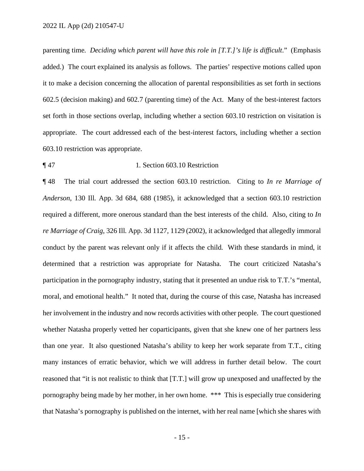parenting time. *Deciding which parent will have this role in [T.T.]'s life is difficult*." (Emphasis added.) The court explained its analysis as follows. The parties' respective motions called upon it to make a decision concerning the allocation of parental responsibilities as set forth in sections 602.5 (decision making) and 602.7 (parenting time) of the Act. Many of the best-interest factors set forth in those sections overlap, including whether a section 603.10 restriction on visitation is appropriate. The court addressed each of the best-interest factors, including whether a section 603.10 restriction was appropriate.

## ¶ 47 1. Section 603.10 Restriction

¶ 48 The trial court addressed the section 603.10 restriction. Citing to *In re Marriage of Anderson*, 130 Ill. App. 3d 684, 688 (1985), it acknowledged that a section 603.10 restriction required a different, more onerous standard than the best interests of the child. Also, citing to *In re Marriage of Craig*, 326 Ill. App. 3d 1127, 1129 (2002), it acknowledged that allegedly immoral conduct by the parent was relevant only if it affects the child. With these standards in mind, it determined that a restriction was appropriate for Natasha. The court criticized Natasha's participation in the pornography industry, stating that it presented an undue risk to T.T.'s "mental, moral, and emotional health." It noted that, during the course of this case, Natasha has increased her involvement in the industry and now records activities with other people. The court questioned whether Natasha properly vetted her coparticipants, given that she knew one of her partners less than one year. It also questioned Natasha's ability to keep her work separate from T.T., citing many instances of erratic behavior, which we will address in further detail below. The court reasoned that "it is not realistic to think that [T.T.] will grow up unexposed and unaffected by the pornography being made by her mother, in her own home. \*\*\* This is especially true considering that Natasha's pornography is published on the internet, with her real name [which she shares with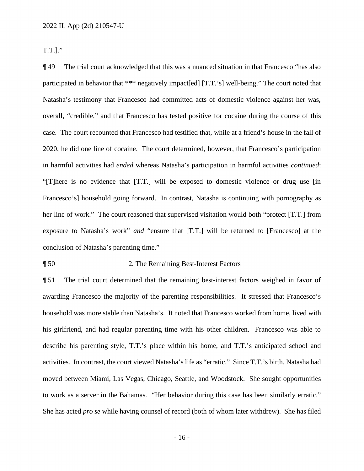T.T.]."

¶ 49 The trial court acknowledged that this was a nuanced situation in that Francesco "has also participated in behavior that \*\*\* negatively impact[ed] [T.T.'s] well-being." The court noted that Natasha's testimony that Francesco had committed acts of domestic violence against her was, overall, "credible," and that Francesco has tested positive for cocaine during the course of this case. The court recounted that Francesco had testified that, while at a friend's house in the fall of 2020, he did one line of cocaine. The court determined, however, that Francesco's participation in harmful activities had *ended* whereas Natasha's participation in harmful activities *continued*: "[T]here is no evidence that [T.T.] will be exposed to domestic violence or drug use [in Francesco's] household going forward. In contrast, Natasha is continuing with pornography as her line of work." The court reasoned that supervised visitation would both "protect [T.T.] from exposure to Natasha's work" *and* "ensure that [T.T.] will be returned to [Francesco] at the conclusion of Natasha's parenting time."

## ¶ 50 2. The Remaining Best-Interest Factors

¶ 51 The trial court determined that the remaining best-interest factors weighed in favor of awarding Francesco the majority of the parenting responsibilities. It stressed that Francesco's household was more stable than Natasha's. It noted that Francesco worked from home, lived with his girlfriend, and had regular parenting time with his other children. Francesco was able to describe his parenting style, T.T.'s place within his home, and T.T.'s anticipated school and activities. In contrast, the court viewed Natasha's life as "erratic." Since T.T.'s birth, Natasha had moved between Miami, Las Vegas, Chicago, Seattle, and Woodstock. She sought opportunities to work as a server in the Bahamas. "Her behavior during this case has been similarly erratic." She has acted *pro se* while having counsel of record (both of whom later withdrew). She has filed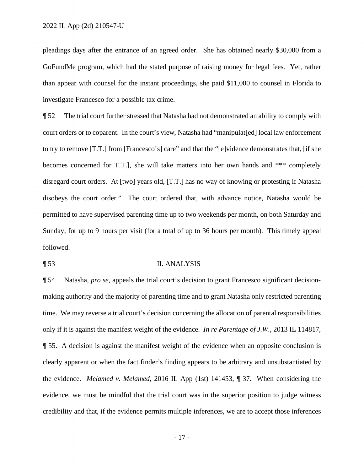pleadings days after the entrance of an agreed order. She has obtained nearly \$30,000 from a GoFundMe program, which had the stated purpose of raising money for legal fees. Yet, rather than appear with counsel for the instant proceedings, she paid \$11,000 to counsel in Florida to investigate Francesco for a possible tax crime.

¶ 52 The trial court further stressed that Natasha had not demonstrated an ability to comply with court orders or to coparent. In the court's view, Natasha had "manipulat[ed] local law enforcement to try to remove [T.T.] from [Francesco's] care" and that the "[e]vidence demonstrates that, [if she becomes concerned for T.T.], she will take matters into her own hands and \*\*\* completely disregard court orders. At [two] years old, [T.T.] has no way of knowing or protesting if Natasha disobeys the court order." The court ordered that, with advance notice, Natasha would be permitted to have supervised parenting time up to two weekends per month, on both Saturday and Sunday, for up to 9 hours per visit (for a total of up to 36 hours per month). This timely appeal followed.

¶ 53 II. ANALYSIS

¶ 54 Natasha, *pro se*, appeals the trial court's decision to grant Francesco significant decisionmaking authority and the majority of parenting time and to grant Natasha only restricted parenting time. We may reverse a trial court's decision concerning the allocation of parental responsibilities only if it is against the manifest weight of the evidence. *In re Parentage of J.W.*, 2013 IL 114817, ¶ 55. A decision is against the manifest weight of the evidence when an opposite conclusion is clearly apparent or when the fact finder's finding appears to be arbitrary and unsubstantiated by the evidence. *Melamed v. Melamed*, 2016 IL App (1st) 141453, ¶ 37. When considering the evidence, we must be mindful that the trial court was in the superior position to judge witness credibility and that, if the evidence permits multiple inferences, we are to accept those inferences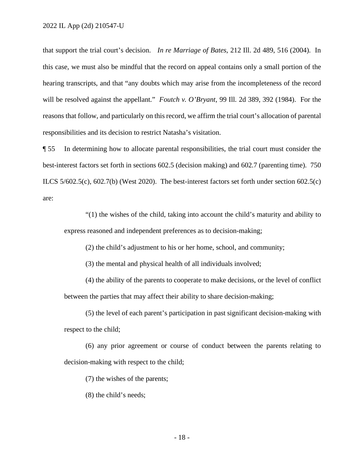that support the trial court's decision. *In re Marriage of Bates*, 212 Ill. 2d 489, 516 (2004). In this case, we must also be mindful that the record on appeal contains only a small portion of the hearing transcripts, and that "any doubts which may arise from the incompleteness of the record will be resolved against the appellant." *Foutch v. O'Bryant*, 99 Ill. 2d 389, 392 (1984). For the reasons that follow, and particularly on this record, we affirm the trial court's allocation of parental responsibilities and its decision to restrict Natasha's visitation.

¶ 55 In determining how to allocate parental responsibilities, the trial court must consider the best-interest factors set forth in sections 602.5 (decision making) and 602.7 (parenting time). 750 ILCS 5/602.5(c), 602.7(b) (West 2020). The best-interest factors set forth under section 602.5(c) are:

"(1) the wishes of the child, taking into account the child's maturity and ability to express reasoned and independent preferences as to decision-making;

(2) the child's adjustment to his or her home, school, and community;

(3) the mental and physical health of all individuals involved;

(4) the ability of the parents to cooperate to make decisions, or the level of conflict between the parties that may affect their ability to share decision-making;

(5) the level of each parent's participation in past significant decision-making with respect to the child;

(6) any prior agreement or course of conduct between the parents relating to decision-making with respect to the child;

(7) the wishes of the parents;

(8) the child's needs;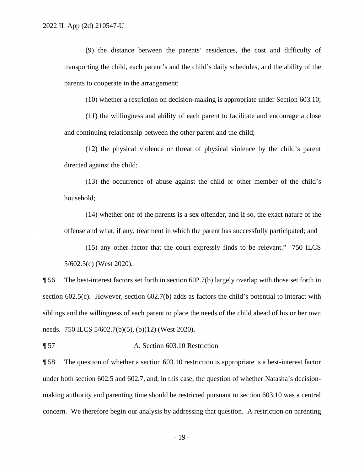(9) the distance between the parents' residences, the cost and difficulty of transporting the child, each parent's and the child's daily schedules, and the ability of the parents to cooperate in the arrangement;

(10) whether a restriction on decision-making is appropriate under Section 603.10;

(11) the willingness and ability of each parent to facilitate and encourage a close and continuing relationship between the other parent and the child;

(12) the physical violence or threat of physical violence by the child's parent directed against the child;

 (13) the occurrence of abuse against the child or other member of the child's household;

(14) whether one of the parents is a sex offender, and if so, the exact nature of the offense and what, if any, treatment in which the parent has successfully participated; and

(15) any other factor that the court expressly finds to be relevant." 750 ILCS 5/602.5(c) (West 2020).

¶ 56 The best-interest factors set forth in section 602.7(b) largely overlap with those set forth in section 602.5(c). However, section 602.7(b) adds as factors the child's potential to interact with siblings and the willingness of each parent to place the needs of the child ahead of his or her own needs. 750 ILCS 5/602.7(b)(5), (b)(12) (West 2020).

¶ 57 A. Section 603.10 Restriction

¶ 58 The question of whether a section 603.10 restriction is appropriate is a best-interest factor under both section 602.5 and 602.7, and, in this case, the question of whether Natasha's decisionmaking authority and parenting time should be restricted pursuant to section 603.10 was a central concern. We therefore begin our analysis by addressing that question. A restriction on parenting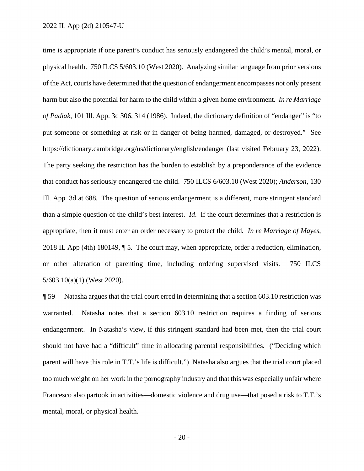time is appropriate if one parent's conduct has seriously endangered the child's mental, moral, or physical health. 750 ILCS 5/603.10 (West 2020). Analyzing similar language from prior versions of the Act, courts have determined that the question of endangerment encompasses not only present harm but also the potential for harm to the child within a given home environment. *In re Marriage of Padiak*, 101 Ill. App. 3d 306, 314 (1986). Indeed, the dictionary definition of "endanger" is "to put someone or something at risk or in danger of being harmed, damaged, or destroyed." See <https://dictionary.cambridge.org/us/dictionary/english/endanger> (last visited February 23, 2022). The party seeking the restriction has the burden to establish by a preponderance of the evidence that conduct has seriously endangered the child. 750 ILCS 6/603.10 (West 2020); *Anderson*, 130 Ill. App. 3d at 688. The question of serious endangerment is a different, more stringent standard than a simple question of the child's best interest. *Id*. If the court determines that a restriction is appropriate, then it must enter an order necessary to protect the child. *In re Marriage of Mayes*, 2018 IL App (4th) 180149, ¶ 5. The court may, when appropriate, order a reduction, elimination, or other alteration of parenting time, including ordering supervised visits. 750 ILCS 5/603.10(a)(1) (West 2020).

¶ 59 Natasha argues that the trial court erred in determining that a section 603.10 restriction was warranted. Natasha notes that a section 603.10 restriction requires a finding of serious endangerment. In Natasha's view, if this stringent standard had been met, then the trial court should not have had a "difficult" time in allocating parental responsibilities. ("Deciding which parent will have this role in T.T.'s life is difficult.") Natasha also argues that the trial court placed too much weight on her work in the pornography industry and that this was especially unfair where Francesco also partook in activities—domestic violence and drug use—that posed a risk to T.T.'s mental, moral, or physical health.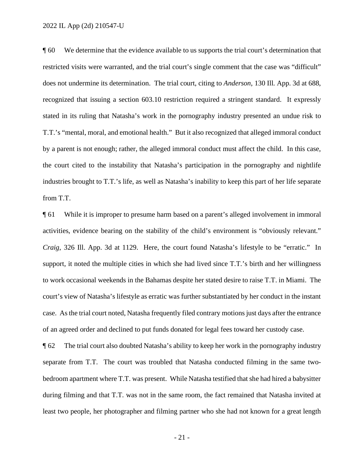¶ 60 We determine that the evidence available to us supports the trial court's determination that restricted visits were warranted, and the trial court's single comment that the case was "difficult" does not undermine its determination. The trial court, citing to *Anderson*, 130 Ill. App. 3d at 688, recognized that issuing a section 603.10 restriction required a stringent standard. It expressly stated in its ruling that Natasha's work in the pornography industry presented an undue risk to T.T.'s "mental, moral, and emotional health." But it also recognized that alleged immoral conduct by a parent is not enough; rather, the alleged immoral conduct must affect the child. In this case, the court cited to the instability that Natasha's participation in the pornography and nightlife industries brought to T.T.'s life, as well as Natasha's inability to keep this part of her life separate from T.T.

¶ 61 While it is improper to presume harm based on a parent's alleged involvement in immoral activities, evidence bearing on the stability of the child's environment is "obviously relevant." *Craig*, 326 Ill. App. 3d at 1129. Here, the court found Natasha's lifestyle to be "erratic." In support, it noted the multiple cities in which she had lived since T.T.'s birth and her willingness to work occasional weekends in the Bahamas despite her stated desire to raise T.T. in Miami. The court's view of Natasha's lifestyle as erratic was further substantiated by her conduct in the instant case. As the trial court noted, Natasha frequently filed contrary motions just days after the entrance of an agreed order and declined to put funds donated for legal fees toward her custody case.

¶ 62 The trial court also doubted Natasha's ability to keep her work in the pornography industry separate from T.T. The court was troubled that Natasha conducted filming in the same twobedroom apartment where T.T. was present. While Natasha testified that she had hired a babysitter during filming and that T.T. was not in the same room, the fact remained that Natasha invited at least two people, her photographer and filming partner who she had not known for a great length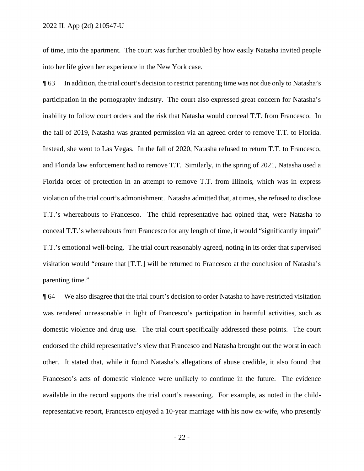of time, into the apartment. The court was further troubled by how easily Natasha invited people into her life given her experience in the New York case.

¶ 63 In addition, the trial court's decision to restrict parenting time was not due only to Natasha's participation in the pornography industry. The court also expressed great concern for Natasha's inability to follow court orders and the risk that Natasha would conceal T.T. from Francesco. In the fall of 2019, Natasha was granted permission via an agreed order to remove T.T. to Florida. Instead, she went to Las Vegas. In the fall of 2020, Natasha refused to return T.T. to Francesco, and Florida law enforcement had to remove T.T. Similarly, in the spring of 2021, Natasha used a Florida order of protection in an attempt to remove T.T. from Illinois, which was in express violation of the trial court's admonishment. Natasha admitted that, at times, she refused to disclose T.T.'s whereabouts to Francesco. The child representative had opined that, were Natasha to conceal T.T.'s whereabouts from Francesco for any length of time, it would "significantly impair" T.T.'s emotional well-being. The trial court reasonably agreed, noting in its order that supervised visitation would "ensure that [T.T.] will be returned to Francesco at the conclusion of Natasha's parenting time."

¶ 64 We also disagree that the trial court's decision to order Natasha to have restricted visitation was rendered unreasonable in light of Francesco's participation in harmful activities, such as domestic violence and drug use. The trial court specifically addressed these points. The court endorsed the child representative's view that Francesco and Natasha brought out the worst in each other. It stated that, while it found Natasha's allegations of abuse credible, it also found that Francesco's acts of domestic violence were unlikely to continue in the future. The evidence available in the record supports the trial court's reasoning. For example, as noted in the childrepresentative report, Francesco enjoyed a 10-year marriage with his now ex-wife, who presently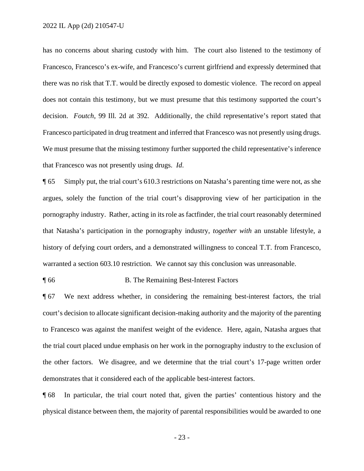has no concerns about sharing custody with him. The court also listened to the testimony of Francesco, Francesco's ex-wife, and Francesco's current girlfriend and expressly determined that there was no risk that T.T. would be directly exposed to domestic violence. The record on appeal does not contain this testimony, but we must presume that this testimony supported the court's decision. *Foutch*, 99 Ill. 2d at 392. Additionally, the child representative's report stated that Francesco participated in drug treatment and inferred that Francesco was not presently using drugs. We must presume that the missing testimony further supported the child representative's inference that Francesco was not presently using drugs. *Id*.

¶ 65 Simply put, the trial court's 610.3 restrictions on Natasha's parenting time were not, as she argues, solely the function of the trial court's disapproving view of her participation in the pornography industry. Rather, acting in its role as factfinder, the trial court reasonably determined that Natasha's participation in the pornography industry, *together with* an unstable lifestyle, a history of defying court orders, and a demonstrated willingness to conceal T.T. from Francesco, warranted a section 603.10 restriction. We cannot say this conclusion was unreasonable.

¶ 66 B. The Remaining Best-Interest Factors

¶ 67 We next address whether, in considering the remaining best-interest factors, the trial court's decision to allocate significant decision-making authority and the majority of the parenting to Francesco was against the manifest weight of the evidence. Here, again, Natasha argues that the trial court placed undue emphasis on her work in the pornography industry to the exclusion of the other factors. We disagree, and we determine that the trial court's 17-page written order demonstrates that it considered each of the applicable best-interest factors.

¶ 68 In particular, the trial court noted that, given the parties' contentious history and the physical distance between them, the majority of parental responsibilities would be awarded to one

- 23 -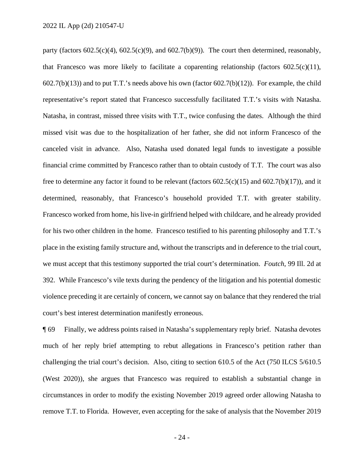party (factors  $602.5(c)(4)$ ,  $602.5(c)(9)$ , and  $602.7(b)(9)$ ). The court then determined, reasonably, that Francesco was more likely to facilitate a coparenting relationship (factors  $602.5(c)(11)$ ,  $602.7(b)(13)$ ) and to put T.T.'s needs above his own (factor  $602.7(b)(12)$ ). For example, the child representative's report stated that Francesco successfully facilitated T.T.'s visits with Natasha. Natasha, in contrast, missed three visits with T.T., twice confusing the dates. Although the third missed visit was due to the hospitalization of her father, she did not inform Francesco of the canceled visit in advance. Also, Natasha used donated legal funds to investigate a possible financial crime committed by Francesco rather than to obtain custody of T.T. The court was also free to determine any factor it found to be relevant (factors 602.5(c)(15) and 602.7(b)(17)), and it determined, reasonably, that Francesco's household provided T.T. with greater stability. Francesco worked from home, his live-in girlfriend helped with childcare, and he already provided for his two other children in the home. Francesco testified to his parenting philosophy and T.T.'s place in the existing family structure and, without the transcripts and in deference to the trial court, we must accept that this testimony supported the trial court's determination. *Foutch*, 99 Ill. 2d at 392. While Francesco's vile texts during the pendency of the litigation and his potential domestic violence preceding it are certainly of concern, we cannot say on balance that they rendered the trial court's best interest determination manifestly erroneous.

¶ 69 Finally, we address points raised in Natasha's supplementary reply brief. Natasha devotes much of her reply brief attempting to rebut allegations in Francesco's petition rather than challenging the trial court's decision. Also, citing to section 610.5 of the Act (750 ILCS 5/610.5 (West 2020)), she argues that Francesco was required to establish a substantial change in circumstances in order to modify the existing November 2019 agreed order allowing Natasha to remove T.T. to Florida. However, even accepting for the sake of analysis that the November 2019